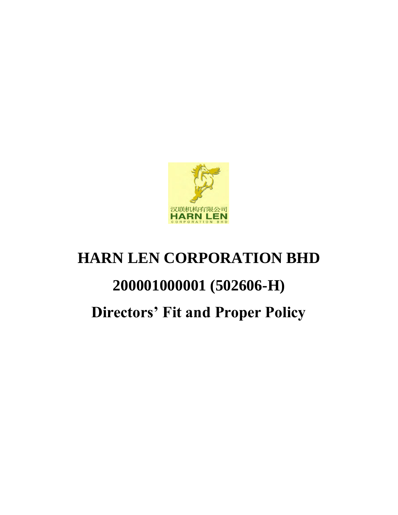

# **HARN LEN CORPORATION BHD 200001000001 (502606-H) Directors' Fit and Proper Policy**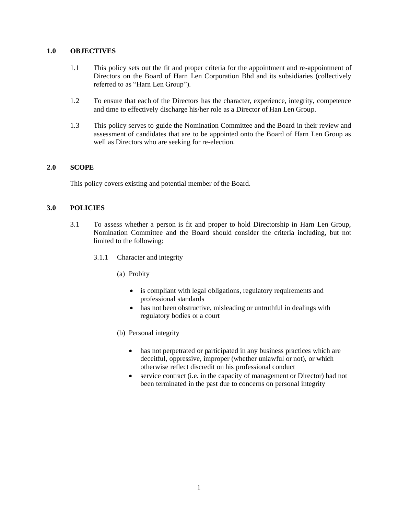## **1.0 OBJECTIVES**

- 1.1 This policy sets out the fit and proper criteria for the appointment and re-appointment of Directors on the Board of Harn Len Corporation Bhd and its subsidiaries (collectively referred to as "Harn Len Group").
- 1.2 To ensure that each of the Directors has the character, experience, integrity, competence and time to effectively discharge his/her role as a Director of Han Len Group.
- 1.3 This policy serves to guide the Nomination Committee and the Board in their review and assessment of candidates that are to be appointed onto the Board of Harn Len Group as well as Directors who are seeking for re-election.

#### **2.0 SCOPE**

This policy covers existing and potential member of the Board.

#### **3.0 POLICIES**

- 3.1 To assess whether a person is fit and proper to hold Directorship in Harn Len Group, Nomination Committee and the Board should consider the criteria including, but not limited to the following:
	- 3.1.1 Character and integrity
		- (a) Probity
			- is compliant with legal obligations, regulatory requirements and professional standards
			- has not been obstructive, misleading or untruthful in dealings with regulatory bodies or a court
		- (b) Personal integrity
			- has not perpetrated or participated in any business practices which are deceitful, oppressive, improper (whether unlawful or not), or which otherwise reflect discredit on his professional conduct
			- service contract (i.e. in the capacity of management or Director) had not been terminated in the past due to concerns on personal integrity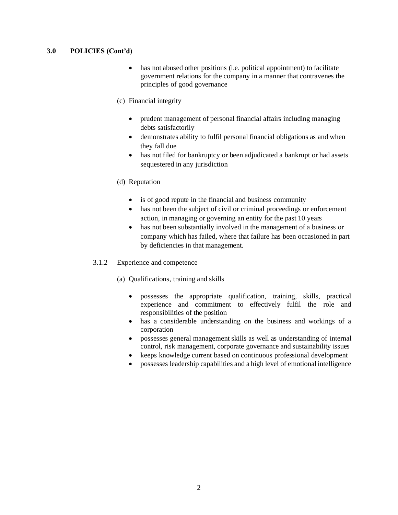# **3.0 POLICIES (Cont'd)**

- has not abused other positions (i.e. political appointment) to facilitate government relations for the company in a manner that contravenes the principles of good governance
- (c) Financial integrity
	- prudent management of personal financial affairs including managing debts satisfactorily
	- demonstrates ability to fulfil personal financial obligations as and when they fall due
	- has not filed for bankruptcy or been adjudicated a bankrupt or had assets sequestered in any jurisdiction
- (d) Reputation
	- is of good repute in the financial and business community
	- has not been the subject of civil or criminal proceedings or enforcement action, in managing or governing an entity for the past 10 years
	- has not been substantially involved in the management of a business or company which has failed, where that failure has been occasioned in part by deficiencies in that management.
- 3.1.2 Experience and competence
	- (a) Qualifications, training and skills
		- possesses the appropriate qualification, training, skills, practical experience and commitment to effectively fulfil the role and responsibilities of the position
		- has a considerable understanding on the business and workings of a corporation
		- possesses general management skills as well as understanding of internal control, risk management, corporate governance and sustainability issues
		- keeps knowledge current based on continuous professional development
		- possesses leadership capabilities and a high level of emotional intelligence